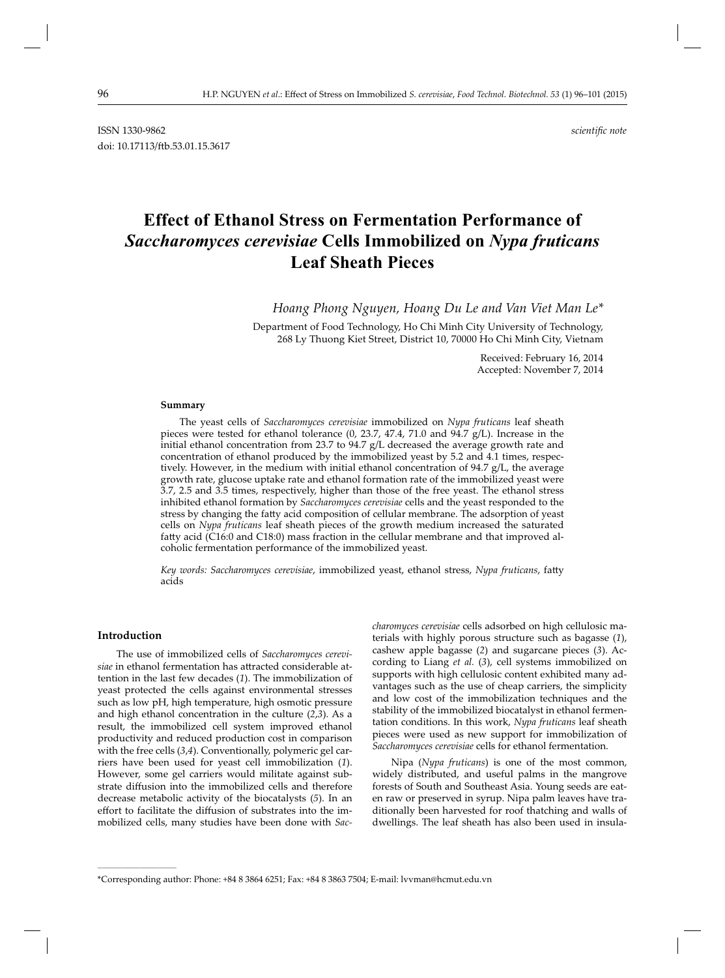ISSN 1330-9862 *scientifi c note* doi: 10.17113/ftb.53.01.15.3617

# **Effect of Ethanol Stress on Fermentation Performance of**  *Saccharomyces cerevisiae* **Cells Immobilized on** *Nypa fruticans* **Leaf Sheath Pieces**

*Hoang Phong Nguyen, Hoang Du Le and Van Viet Man Le\**

Department of Food Technology, Ho Chi Minh City University of Technology, 268 Ly Thuong Kiet Street, District 10, 70000 Ho Chi Minh City, Vietnam

> Received: February 16, 2014 Accepted: November 7, 2014

#### **Summary**

The yeast cells of *Saccharomyces cerevisiae* immobilized on *Nypa fruticans* leaf sheath pieces were tested for ethanol tolerance (0, 23.7, 47.4, 71.0 and 94.7 g/L). Increase in the initial ethanol concentration from 23.7 to 94.7 g/L decreased the average growth rate and concentration of ethanol produced by the immobilized yeast by 5.2 and 4.1 times, respectively. However, in the medium with initial ethanol concentration of 94.7 g/L, the average growth rate, glucose uptake rate and ethanol formation rate of the immobilized yeast were 3.7, 2.5 and 3.5 times, respectively, higher than those of the free yeast. The ethanol stress inhibited ethanol formation by *Saccharomyces cerevisiae* cells and the yeast responded to the stress by changing the fatty acid composition of cellular membrane. The adsorption of yeast cells on *Nypa fruticans* leaf sheath pieces of the growth medium increased the saturated fatty acid (C16:0 and C18:0) mass fraction in the cellular membrane and that improved alcoholic fermentation performance of the immobilized yeast.

Key words: Saccharomyces cerevisiae, immobilized yeast, ethanol stress, Nypa fruticans, fatty acids

#### **Introduction**

**\_\_\_\_\_\_\_\_\_\_\_\_\_\_\_\_\_\_\_\_\_\_\_\_\_\_\_\_\_\_**

The use of immobilized cells of *Saccharomyces cerevi*siae in ethanol fermentation has attracted considerable attention in the last few decades (*1*). The immobilization of yeast protected the cells against environmental stresses such as low pH, high temperature, high osmotic pressure and high ethanol concentration in the culture (*2*,*3*). As a result, the immobilized cell system improved ethanol productivity and reduced production cost in comparison with the free cells (*3*,*4*). Conventionally, polymeric gel carriers have been used for yeast cell immobilization (*1*). However, some gel carriers would militate against substrate diffusion into the immobilized cells and therefore decrease metabolic activity of the biocatalysts (*5*). In an effort to facilitate the diffusion of substrates into the immobilized cells, many studies have been done with *Sac-* *charomyces cerevisiae* cells adsorbed on high cellulosic materials with highly porous structure such as bagasse (*1*), cashew apple bagasse (*2*) and sugarcane pieces (*3*). According to Liang *et al.* (*3*), cell systems immobilized on supports with high cellulosic content exhibited many advantages such as the use of cheap carriers, the simplicity and low cost of the immobilization techniques and the stability of the immobilized biocatalyst in ethanol fermentation conditions. In this work, *Nypa fruticans* leaf sheath pieces were used as new support for immobilization of *Saccharomyces cerevisiae* cells for ethanol fermentation.

Nipa (*Nypa fruticans*) is one of the most common, widely distributed, and useful palms in the mangrove forests of South and Southeast Asia. Young seeds are eaten raw or preserved in syrup. Nipa palm leaves have traditionally been harvested for roof thatching and walls of dwellings. The leaf sheath has also been used in insula-

<sup>\*</sup>Corresponding author: Phone: +84 8 3864 6251; Fax: +84 8 3863 7504; E-mail: lvvman@hcmut.edu.vn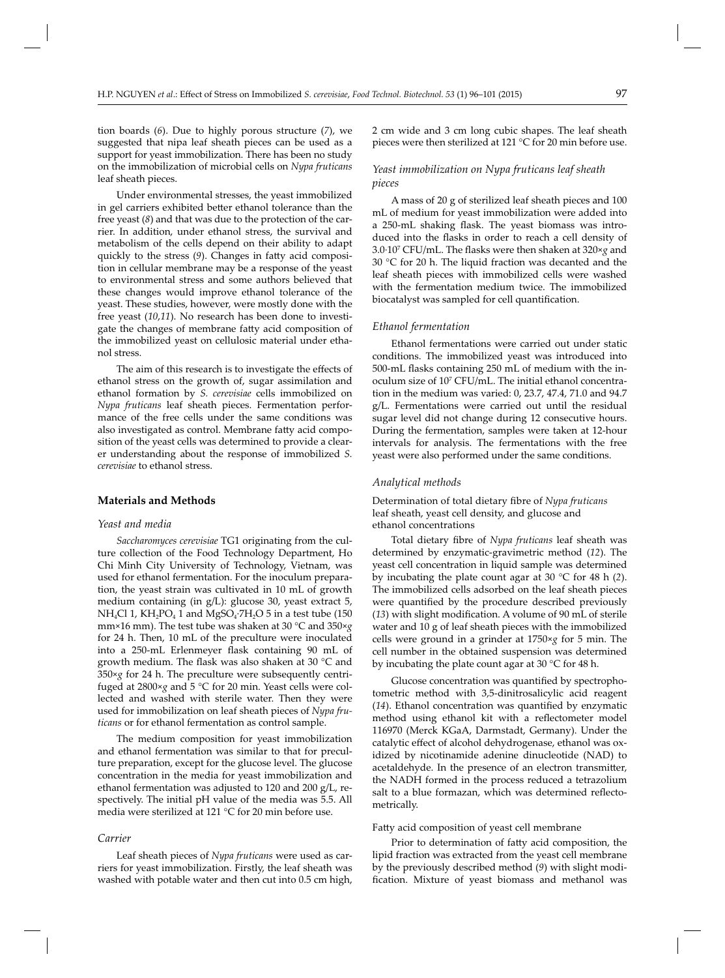tion boards (*6*). Due to highly porous structure (*7*), we suggested that nipa leaf sheath pieces can be used as a support for yeast immobilization. There has been no study on the immobilization of microbial cells on *Nypa fruticans* leaf sheath pieces.

Under environmental stresses, the yeast immobilized in gel carriers exhibited better ethanol tolerance than the free yeast (*8*) and that was due to the protection of the carrier. In addition, under ethanol stress, the survival and metabolism of the cells depend on their ability to adapt quickly to the stress (9). Changes in fatty acid composition in cellular membrane may be a response of the yeast to environmental stress and some authors believed that these changes would improve ethanol tolerance of the yeast. These studies, however, were mostly done with the free yeast (*10*,*11*). No research has been done to investigate the changes of membrane fatty acid composition of the immobilized yeast on cellulosic material under ethanol stress.

The aim of this research is to investigate the effects of ethanol stress on the growth of, sugar assimilation and ethanol formation by *S. cerevisiae* cells immobilized on *Nypa fruticans* leaf sheath pieces. Fermentation performance of the free cells under the same conditions was also investigated as control. Membrane fatty acid composition of the yeast cells was determined to provide a clearer understanding about the response of immobilized *S. cerevisiae* to ethanol stress.

### **Materials and Methods**

#### *Yeast and media*

*Saccharomyces cerevisiae* TG1 originating from the culture collection of the Food Technology Department, Ho Chi Minh City University of Technology, Vietnam, was used for ethanol fermentation. For the inoculum preparation, the yeast strain was cultivated in 10 mL of growth medium containing (in g/L): glucose 30, yeast extract 5, NH<sub>4</sub>Cl 1, KH<sub>2</sub>PO<sub>4</sub> 1 and MgSO<sub>4</sub>·7H<sub>2</sub>O 5 in a test tube (150 mm×16 mm). The test tube was shaken at 30 °C and 350×*g* for 24 h. Then, 10 mL of the preculture were inoculated into a 250-mL Erlenmeyer flask containing 90 mL of growth medium. The flask was also shaken at 30 °C and 350×*g* for 24 h. The preculture were subsequently centrifuged at 2800×*g* and 5 °C for 20 min. Yeast cells were collected and washed with sterile water. Then they were used for immobilization on leaf sheath pieces of *Nypa fruticans* or for ethanol fermentation as control sample.

The medium composition for yeast immobilization and ethanol fermentation was similar to that for preculture preparation, except for the glucose level. The glucose concentration in the media for yeast immobilization and ethanol fermentation was adjusted to 120 and 200 g/L, respectively. The initial pH value of the media was 5.5. All media were sterilized at 121 °C for 20 min before use.

#### *Carrier*

Leaf sheath pieces of *Nypa fruticans* were used as carriers for yeast immobilization. Firstly, the leaf sheath was washed with potable water and then cut into 0.5 cm high,

2 cm wide and 3 cm long cubic shapes. The leaf sheath pieces were then sterilized at 121 °C for 20 min before use.

## *Yeast immobilization on Nypa fruticans leaf sheath pieces*

A mass of 20 g of sterilized leaf sheath pieces and 100 mL of medium for yeast immobilization were added into a 250-mL shaking flask. The yeast biomass was introduced into the flasks in order to reach a cell density of 3.0·107 CFU/mL. The fl asks were then shaken at 320×*g* and 30 °C for 20 h. The liquid fraction was decanted and the leaf sheath pieces with immobilized cells were washed with the fermentation medium twice. The immobilized biocatalyst was sampled for cell quantification.

#### *Ethanol fermentation*

Ethanol fermentations were carried out under static conditions. The immobilized yeast was introduced into 500-mL flasks containing 250 mL of medium with the inoculum size of 107 CFU/mL. The initial ethanol concentration in the medium was varied: 0, 23.7, 47.4, 71.0 and 94.7 g/L. Fermentations were carried out until the residual sugar level did not change during 12 consecutive hours. During the fermentation, samples were taken at 12-hour intervals for analysis. The fermentations with the free yeast were also performed under the same conditions.

#### *Analytical methods*

Determination of total dietary fibre of *Nypa fruticans* leaf sheath, yeast cell density, and glucose and ethanol concentrations

Total dietary fibre of *Nypa fruticans* leaf sheath was determined by enzymatic-gravimetric method (*12*). The yeast cell concentration in liquid sample was determined by incubating the plate count agar at 30 °C for 48 h (*2*). The immobilized cells adsorbed on the leaf sheath pieces were quantified by the procedure described previously (13) with slight modification. A volume of 90 mL of sterile water and 10 g of leaf sheath pieces with the immobilized cells were ground in a grinder at 1750×*g* for 5 min. The cell number in the obtained suspension was determined by incubating the plate count agar at 30 °C for 48 h.

Glucose concentration was quantified by spectrophotometric method with 3,5-dinitrosalicylic acid reagent (14). Ethanol concentration was quantified by enzymatic method using ethanol kit with a reflectometer model 116970 (Merck KGaA, Darmstadt, Germany). Under the catalytic effect of alcohol dehydrogenase, ethanol was oxidized by nicotinamide adenine dinucleotide (NAD) to acetaldehyde. In the presence of an electron transmitter, the NADH formed in the process reduced a tetrazolium salt to a blue formazan, which was determined reflectometrically.

#### Fatty acid composition of yeast cell membrane

Prior to determination of fatty acid composition, the lipid fraction was extracted from the yeast cell membrane by the previously described method (*9*) with slight modification. Mixture of yeast biomass and methanol was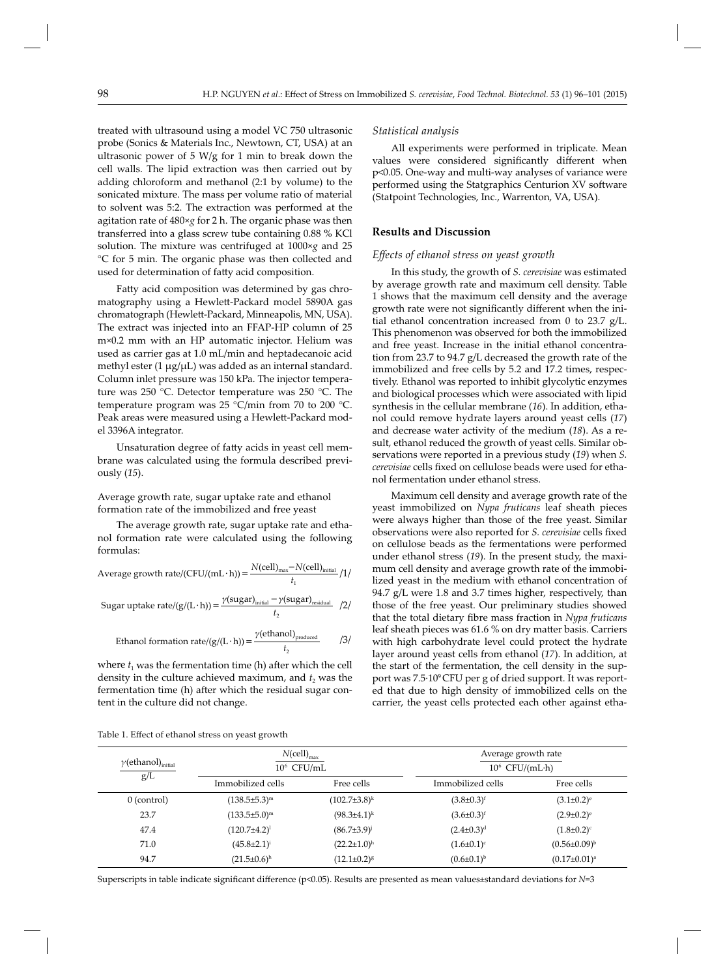treated with ultrasound using a model VC 750 ultrasonic probe (Sonics & Materials Inc., Newtown, CT, USA) at an ultrasonic power of 5 W/g for 1 min to break down the cell walls. The lipid extraction was then carried out by adding chloroform and methanol (2:1 by volume) to the sonicated mixture. The mass per volume ratio of material to solvent was 5:2. The extraction was performed at the agitation rate of 480×*g* for 2 h. The organic phase was then transferred into a glass screw tube containing 0.88 % KCl solution. The mixture was centrifuged at 1000×*g* and 25 °C for 5 min. The organic phase was then collected and used for determination of fatty acid composition.

Fatty acid composition was determined by gas chromatography using a Hewlett-Packard model 5890A gas chromatograph (Hewlett-Packard, Minneapolis, MN, USA). The extract was injected into an FFAP-HP column of 25 m×0.2 mm with an HP automatic injector. Helium was used as carrier gas at 1.0 mL/min and heptadecanoic acid methyl ester (1 μg/μL) was added as an internal standard. Column inlet pressure was 150 kPa. The injector temperature was 250 °C. Detector temperature was 250 °C. The temperature program was 25 °C/min from 70 to 200 °C. Peak areas were measured using a Hewlett-Packard model 3396A integrator.

Unsaturation degree of fatty acids in yeast cell membrane was calculated using the formula described previously (*15*).

Average growth rate, sugar uptake rate and ethanol formation rate of the immobilized and free yeast

The average growth rate, sugar uptake rate and ethanol formation rate were calculated using the following formulas:

Average growth rate/(CFU/(mL·h)) = 
$$
\frac{N(\text{cell})_{\text{max}} - N(\text{cell})_{\text{initial}}}{t_1} / 1 / \text{Sugar uptake rate}/(g/(L·h)) = \frac{\gamma(\text{sugar})_{\text{initial}} - \gamma(\text{sugar})_{\text{residual}}}{t_2} / 2 / \text{Sugar}
$$

Ethanol formation rate/(g/(L·h)) = 
$$
\frac{\gamma(\text{ethanol})_{\text{produced}}}{t_2}
$$
 /3/

where  $t_1$  was the fermentation time (h) after which the cell density in the culture achieved maximum, and  $t<sub>2</sub>$  was the fermentation time (h) after which the residual sugar content in the culture did not change.

#### *Statistical analysis*

All experiments were performed in triplicate. Mean values were considered significantly different when p<0.05. One-way and multi-way analyses of variance were performed using the Statgraphics Centurion XV software (Statpoint Technologies, Inc., Warrenton, VA, USA).

#### **Results and Discussion**

#### *Eff ects of ethanol stress on yeast growth*

In this study, the growth of *S. cerevisiae* was estimated by average growth rate and maximum cell density. Table 1 shows that the maximum cell density and the average growth rate were not significantly different when the initial ethanol concentration increased from 0 to 23.7 g/L. This phenomenon was observed for both the immobilized and free yeast. Increase in the initial ethanol concentration from 23.7 to 94.7 g/L decreased the growth rate of the immobilized and free cells by 5.2 and 17.2 times, respectively. Ethanol was reported to inhibit glycolytic enzymes and biological processes which were associated with lipid synthesis in the cellular membrane (*16*). In addition, ethanol could remove hydrate layers around yeast cells (*17*) and decrease water activity of the medium (*18*). As a result, ethanol reduced the growth of yeast cells. Similar observations were reported in a previous study (*19*) when *S. cerevisiae* cells fixed on cellulose beads were used for ethanol fermentation under ethanol stress.

Maximum cell density and average growth rate of the yeast immobilized on *Nypa fruticans* leaf sheath pieces were always higher than those of the free yeast. Similar observations were also reported for *S. cerevisiae* cells fixed on cellulose beads as the fermentations were performed under ethanol stress (*19*). In the present study, the maximum cell density and average growth rate of the immobilized yeast in the medium with ethanol concentration of 94.7 g/L were 1.8 and 3.7 times higher, respectively, than those of the free yeast. Our preliminary studies showed that the total dietary fibre mass fraction in *Nypa fruticans* leaf sheath pieces was 61.6 % on dry matter basis. Carriers with high carbohydrate level could protect the hydrate layer around yeast cells from ethanol (*17*). In addition, at the start of the fermentation, the cell density in the support was 7.5·10°CFU per g of dried support. It was reported that due to high density of immobilized cells on the carrier, the yeast cells protected each other against etha-

| Table 1. Effect of ethanol stress on yeast growth |
|---------------------------------------------------|
|---------------------------------------------------|

| $\gamma$ (ethanol) <sub>initial</sub><br>g/L | $N$ (cell) <sub>max</sub><br>$10^6$ CFU/mL |                      | Average growth rate<br>$10^6$ CFU/(mL·h) |                       |
|----------------------------------------------|--------------------------------------------|----------------------|------------------------------------------|-----------------------|
|                                              | Immobilized cells                          | Free cells           | Immobilized cells                        | Free cells            |
| $0$ (control)                                | $(138.5 \pm 5.3)^m$                        | $(102.7\pm3.8)^k$    | $(3.8 \pm 0.3)^f$                        | $(3.1 \pm 0.2)^e$     |
| 23.7                                         | $(133.5 \pm 5.0)^m$                        | $(98.3 \pm 4.1)^k$   | $(3.6 \pm 0.3)^f$                        | $(2.9 \pm 0.2)^e$     |
| 47.4                                         | $(120.7 \pm 4.2)^{1}$                      | $(86.7{\pm}3.9)^{j}$ | $(2.4 \pm 0.3)^d$                        | $(1.8 \pm 0.2)^c$     |
| 71.0                                         | $(45.8 \pm 2.1)^{i}$                       | $(22.2 \pm 1.0)^h$   | $(1.6 \pm 0.1)^c$                        | $(0.56 \pm 0.09)^{b}$ |
| 94.7                                         | $(21.5 \pm 0.6)^h$                         | $(12.1 \pm 0.2)^8$   | $(0.6 \pm 0.1)^{b}$                      | $(0.17 \pm 0.01)^a$   |

Superscripts in table indicate significant difference (p<0.05). Results are presented as mean values±standard deviations for *N*=3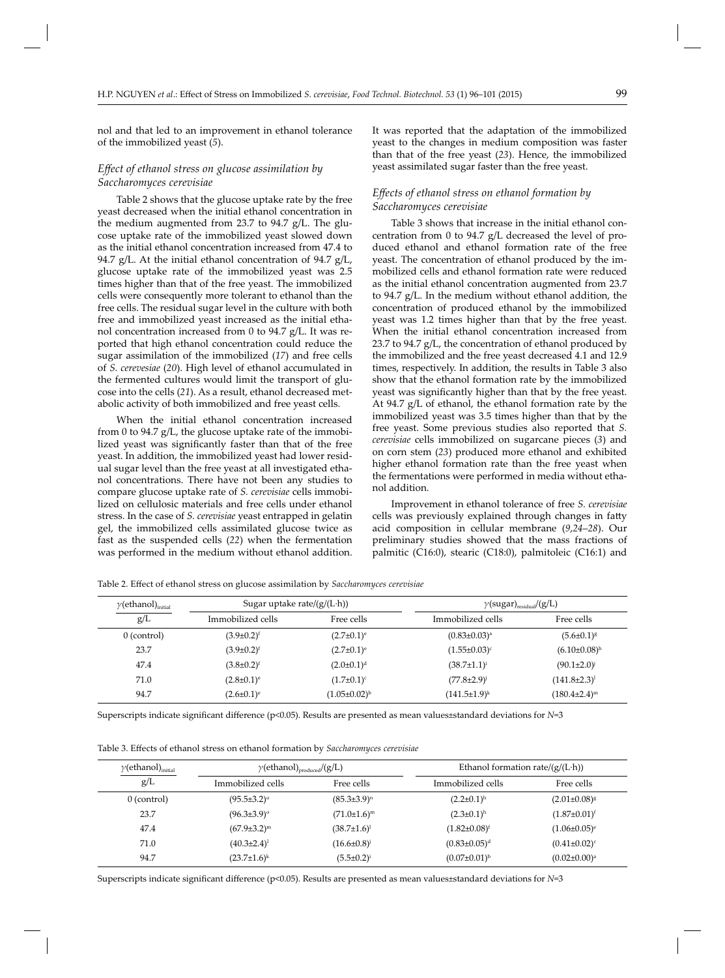nol and that led to an improvement in ethanol tolerance of the immobilized yeast (*5*).

## *Effect of ethanol stress on glucose assimilation by Saccharomyces cerevisiae*

Table 2 shows that the glucose uptake rate by the free yeast decreased when the initial ethanol concentration in the medium augmented from 23.7 to 94.7 g/L. The glucose uptake rate of the immobilized yeast slowed down as the initial ethanol concentration increased from 47.4 to 94.7 g/L. At the initial ethanol concentration of 94.7 g/L, glucose uptake rate of the immobilized yeast was 2.5 times higher than that of the free yeast. The immobilized cells were consequently more tolerant to ethanol than the free cells. The residual sugar level in the culture with both free and immobilized yeast increased as the initial ethanol concentration increased from 0 to 94.7  $g/L$ . It was reported that high ethanol concentration could reduce the sugar assimilation of the immobilized (*17*) and free cells of *S. cerevesiae* (*20*). High level of ethanol accumulated in the fermented cultures would limit the transport of glucose into the cells (*21*). As a result, ethanol decreased metabolic activity of both immobilized and free yeast cells.

When the initial ethanol concentration increased from 0 to 94.7  $g/L$ , the glucose uptake rate of the immobilized yeast was significantly faster than that of the free yeast. In addition, the immobilized yeast had lower residual sugar level than the free yeast at all investigated ethanol concentrations. There have not been any studies to compare glucose uptake rate of *S. cerevisiae* cells immobilized on cellulosic materials and free cells under ethanol stress. In the case of *S. cerevisiae* yeast entrapped in gelatin gel, the immobilized cells assimilated glucose twice as fast as the suspended cells (*22*) when the fermentation was performed in the medium without ethanol addition.

It was reported that the adaptation of the immobilized yeast to the changes in medium composition was faster than that of the free yeast (*23*). Hence, the immobilized yeast assimilated sugar faster than the free yeast.

## *Eff ects of ethanol stress on ethanol formation by Saccharomyces cerevisiae*

Table 3 shows that increase in the initial ethanol concentration from 0 to 94.7 g/L decreased the level of produced ethanol and ethanol formation rate of the free yeast. The concentration of ethanol produced by the immobilized cells and ethanol formation rate were reduced as the initial ethanol concentration augmented from 23.7 to 94.7 g/L. In the medium without ethanol addition, the concentration of produced ethanol by the immobilized yeast was 1.2 times higher than that by the free yeast. When the initial ethanol concentration increased from 23.7 to 94.7 g/L, the concentration of ethanol produced by the immobilized and the free yeast decreased 4.1 and 12.9 times, respectively. In addition, the results in Table 3 also show that the ethanol formation rate by the immobilized yeast was significantly higher than that by the free yeast. At 94.7 g/L of ethanol, the ethanol formation rate by the immobilized yeast was 3.5 times higher than that by the free yeast. Some previous studies also reported that *S. cerevisiae* cells immobilized on sugarcane pieces (*3*) and on corn stem (*23*) produced more ethanol and exhibited higher ethanol formation rate than the free yeast when the fermentations were performed in media without ethanol addition.

Improvement in ethanol tolerance of free *S. cerevisiae* cells was previously explained through changes in fatty acid composition in cellular membrane (*9*,*24*–*28*). Our preliminary studies showed that the mass fractions of palmitic (C16:0), stearic (C18:0), palmitoleic (C16:1) and

Table 2. Effect of ethanol stress on glucose assimilation by *Saccharomyces cerevisiae* 

| $\gamma$ (ethanol) $_{\rm initial}$ | Sugar uptake rate/ $(g/(L \cdot h))$ |                       | $\gamma$ (sugar) <sub>residual</sub> /(g/L) |                                |
|-------------------------------------|--------------------------------------|-----------------------|---------------------------------------------|--------------------------------|
| g/L                                 | Immobilized cells                    | Free cells            | Immobilized cells                           | Free cells                     |
| $0$ (control)                       | $(3.9 \pm 0.2)^f$                    | $(2.7 \pm 0.1)^e$     | $(0.83 \pm 0.03)^a$                         | $(5.6 \pm 0.1)^g$              |
| 23.7                                | $(3.9 \pm 0.2)^f$                    | $(2.7 \pm 0.1)^e$     | $(1.55 \pm 0.03)^c$                         | $(6.10 \pm 0.08)$ <sup>h</sup> |
| 47.4                                | $(3.8 \pm 0.2)^f$                    | $(2.0 \pm 0.1)^d$     | $(38.7 \pm 1.1)^{i}$                        | $(90.1 \pm 2.0)^{j}$           |
| 71.0                                | $(2.8 \pm 0.1)^e$                    | $(1.7 \pm 0.1)^c$     | $(77.8 \pm 2.9)$ <sup>j</sup>               | $(141.8 \pm 2.3)^1$            |
| 94.7                                | $(2.6 \pm 0.1)^e$                    | $(1.05 \pm 0.02)^{b}$ | $(141.5 \pm 1.9)^k$                         | $(180.4 \pm 2.4)^m$            |

Superscripts indicate significant difference ( $p<0.05$ ). Results are presented as mean values±standard deviations for *N*=3

Table 3. Effects of ethanol stress on ethanol formation by *Saccharomyces cerevisiae* 

| $\gamma$ (ethanol) <sub>initial</sub> | $\gamma$ (ethanol) <sub>produced</sub> /(g/L) |                      | Ethanol formation rate/ $(g/(L \cdot h))$ |                     |
|---------------------------------------|-----------------------------------------------|----------------------|-------------------------------------------|---------------------|
| g/L                                   | Immobilized cells                             | Free cells           | Immobilized cells                         | Free cells          |
| $0$ (control)                         | $(95.5 \pm 3.2)$ <sup>o</sup>                 | $(85.3 \pm 3.9)^n$   | $(2.2 \pm 0.1)^h$                         | $(2.01 \pm 0.08)^g$ |
| 23.7                                  | $(96.3 \pm 3.9)$ °                            | $(71.0 \pm 1.6)^m$   | $(2.3 \pm 0.1)^h$                         | $(1.87 \pm 0.01)^f$ |
| 47.4                                  | $(67.9 \pm 3.2)^m$                            | $(38.7 \pm 1.6)^1$   | $(1.82 \pm 0.08)^f$                       | $(1.06 \pm 0.05)^e$ |
| 71.0                                  | $(40.3{\pm}2.4)^1$                            | $(16.6 \pm 0.8)^{j}$ | $(0.83 \pm 0.05)^d$                       | $(0.41 \pm 0.02)^c$ |
| 94.7                                  | $(23.7 \pm 1.6)^k$                            | $(5.5 \pm 0.2)^{i}$  | $(0.07 \pm 0.01)^{b}$                     | $(0.02 \pm 0.00)^a$ |

Superscripts indicate significant difference (p<0.05). Results are presented as mean values±standard deviations for *N*=3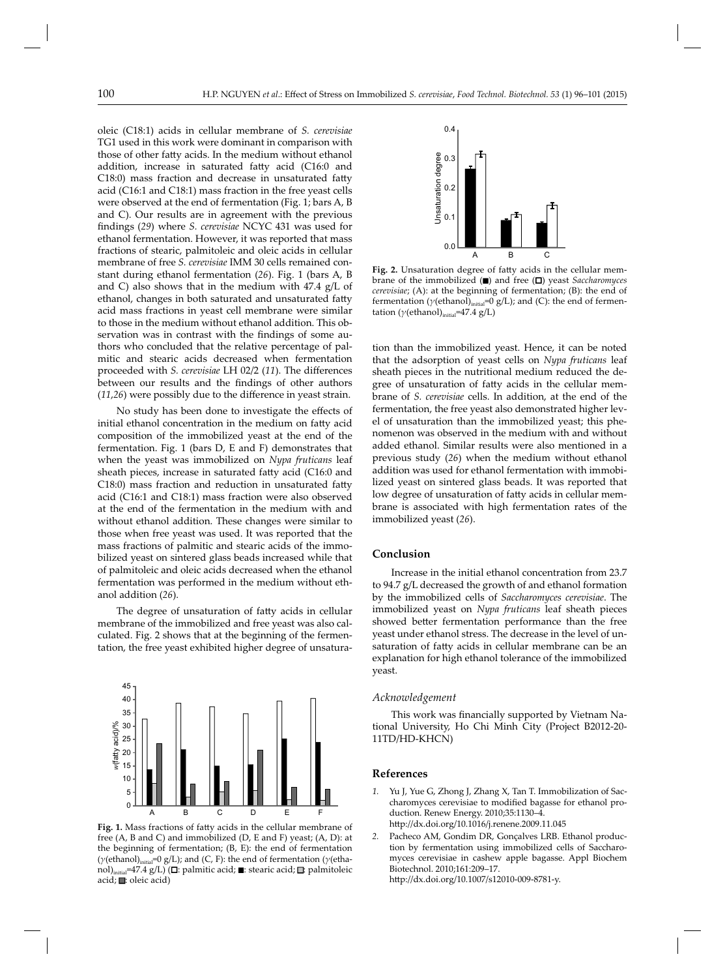oleic (C18:1) acids in cellular membrane of *S. cerevisiae* TG1 used in this work were dominant in comparison with those of other fatty acids. In the medium without ethanol addition, increase in saturated fatty acid (C16:0 and C18:0) mass fraction and decrease in unsaturated fatty acid (C16:1 and C18:1) mass fraction in the free yeast cells were observed at the end of fermentation (Fig. 1; bars A, B and C). Our results are in agreement with the previous findings (29) where *S. cerevisiae* NCYC 431 was used for ethanol fermentation. However, it was reported that mass fractions of stearic, palmitoleic and oleic acids in cellular membrane of free *S. cerevisiae* IMM 30 cells remained constant during ethanol fermentation (*26*). Fig. 1 (bars A, B and C) also shows that in the medium with 47.4 g/L of ethanol, changes in both saturated and unsaturated fatty acid mass fractions in yeast cell membrane were similar to those in the medium without ethanol addition. This observation was in contrast with the findings of some authors who concluded that the relative percentage of palmitic and stearic acids decreased when fermentation proceeded with *S. cerevisiae* LH 02/2 (11). The differences between our results and the findings of other authors  $(11,26)$  were possibly due to the difference in yeast strain.

No study has been done to investigate the effects of initial ethanol concentration in the medium on fatty acid composition of the immobilized yeast at the end of the fermentation. Fig. 1 (bars D, E and F) demonstrates that when the yeast was immobilized on *Nypa fruticans* leaf sheath pieces, increase in saturated fatty acid (C16:0 and C18:0) mass fraction and reduction in unsaturated fatty acid (C16:1 and C18:1) mass fraction were also observed at the end of the fermentation in the medium with and without ethanol addition. These changes were similar to those when free yeast was used. It was reported that the mass fractions of palmitic and stearic acids of the immobilized yeast on sintered glass beads increased while that of palmitoleic and oleic acids decreased when the ethanol fermentation was performed in the medium without ethanol addition (*26*).

The degree of unsaturation of fatty acids in cellular membrane of the immobilized and free yeast was also calculated. Fig. 2 shows that at the beginning of the fermentation, the free yeast exhibited higher degree of unsatura-



**Fig. 1.** Mass fractions of fatty acids in the cellular membrane of free (A, B and C) and immobilized (D, E and F) yeast; (A, D): at the beginning of fermentation; (B, E): the end of fermentation (*γ*(ethanol)initial=0 g/L); and (C, F): the end of fermentation (*γ*(ethanol)<sub>initial</sub>=47.4 g/L) (**□**: palmitic acid; ■: stearic acid; □: palmitoleic acid; ■: oleic acid)



**Fig. 2.** Unsaturation degree of fatty acids in the cellular membrane of the immobilized ( $\blacksquare$ ) and free ( $\square$ ) yeast *Saccharomyces cerevisiae*; (A): at the beginning of fermentation; (B): the end of fermentation ( $γ$ (ethanol)<sub>initial</sub>=0 g/L); and (C): the end of fermentation ( $\gamma$ (ethanol)<sub>initial</sub>=47.4 g/L)

tion than the immobilized yeast. Hence, it can be noted that the adsorption of yeast cells on *Nypa fruticans* leaf sheath pieces in the nutritional medium reduced the degree of unsaturation of fatty acids in the cellular membrane of *S. cerevisiae* cells. In addition, at the end of the fermentation, the free yeast also demonstrated higher level of unsaturation than the immobilized yeast; this phenomenon was observed in the medium with and without added ethanol. Similar results were also mentioned in a previous study (*26*) when the medium without ethanol addition was used for ethanol fermentation with immobilized yeast on sintered glass beads. It was reported that low degree of unsaturation of fatty acids in cellular membrane is associated with high fermentation rates of the immobilized yeast (*26*).

## **Conclusion**

Increase in the initial ethanol concentration from 23.7 to 94.7 g/L decreased the growth of and ethanol formation by the immobilized cells of *Saccharomyces cerevisiae*. The immobilized yeast on *Nypa fruticans* leaf sheath pieces showed better fermentation performance than the free yeast under ethanol stress. The decrease in the level of unsaturation of fatty acids in cellular membrane can be an explanation for high ethanol tolerance of the immobilized yeast.

#### *Acknowledgement*

This work was financially supported by Vietnam National University, Ho Chi Minh City (Project B2012-20- 11TD/HD-KHCN)

## **References**

- *1.* Yu J, Yue G, Zhong J, Zhang X, Tan T. Immobilization of Saccharomyces cerevisiae to modified bagasse for ethanol production. Renew Energy. 2010;35:1130–4. h- p://dx.doi.org/10.1016/j.renene.2009.11.045
- *2.* Pacheco AM, Gondim DR, Gonçalves LRB. Ethanol production by fermentation using immobilized cells of Saccharomyces cerevisiae in cashew apple bagasse. Appl Biochem Biotechnol. 2010;161:209–17. h- p://dx.doi.org/10.1007/s12010-009-8781-y.